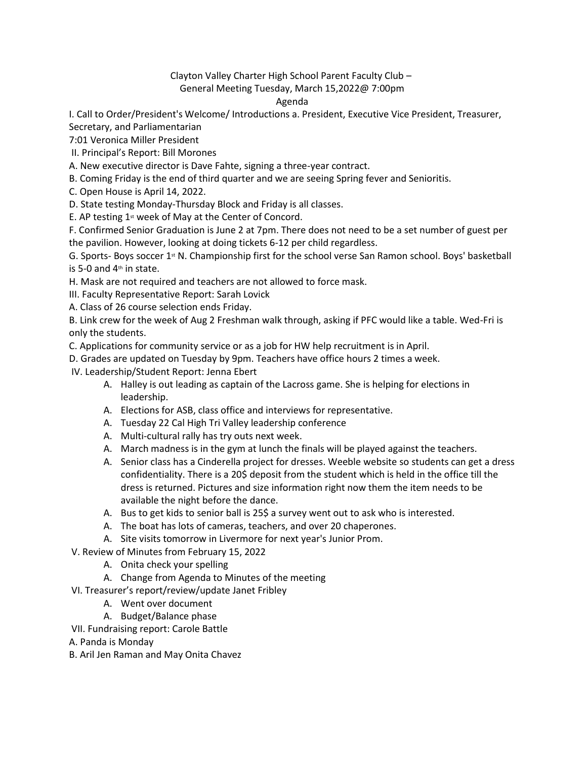Clayton Valley Charter High School Parent Faculty Club – General Meeting Tuesday, March 15,2022@ 7:00pm

## Agenda

I. Call to Order/President's Welcome/ Introductions a. President, Executive Vice President, Treasurer, Secretary, and Parliamentarian

7:01 Veronica Miller President

II. Principal's Report: Bill Morones

A. New executive director is Dave Fahte, signing a three-year contract.

B. Coming Friday is the end of third quarter and we are seeing Spring fever and Senioritis.

C. Open House is April 14, 2022.

D. State testing Monday-Thursday Block and Friday is all classes.

E. AP testing  $1<sup>st</sup>$  week of May at the Center of Concord.

F. Confirmed Senior Graduation is June 2 at 7pm. There does not need to be a set number of guest per the pavilion. However, looking at doing tickets 6-12 per child regardless.

G. Sports- Boys soccer 1<sup>st</sup> N. Championship first for the school verse San Ramon school. Boys' basketball is 5-0 and  $4<sup>th</sup>$  in state.

H. Mask are not required and teachers are not allowed to force mask.

III. Faculty Representative Report: Sarah Lovick

A. Class of 26 course selection ends Friday.

B. Link crew for the week of Aug 2 Freshman walk through, asking if PFC would like a table. Wed-Fri is only the students.

C. Applications for community service or as a job for HW help recruitment is in April.

D. Grades are updated on Tuesday by 9pm. Teachers have office hours 2 times a week.

IV. Leadership/Student Report: Jenna Ebert

- A. Halley is out leading as captain of the Lacross game. She is helping for elections in leadership.
- A. Elections for ASB, class office and interviews for representative.
- A. Tuesday 22 Cal High Tri Valley leadership conference
- A. Multi-cultural rally has try outs next week.
- A. March madness is in the gym at lunch the finals will be played against the teachers.
- A. Senior class has a Cinderella project for dresses. Weeble website so students can get a dress confidentiality. There is a 20\$ deposit from the student which is held in the office till the dress is returned. Pictures and size information right now them the item needs to be available the night before the dance.
- A. Bus to get kids to senior ball is 25\$ a survey went out to ask who is interested.
- A. The boat has lots of cameras, teachers, and over 20 chaperones.
- A. Site visits tomorrow in Livermore for next year's Junior Prom.
- V. Review of Minutes from February 15, 2022
	- A. Onita check your spelling
	- A. Change from Agenda to Minutes of the meeting
- VI. Treasurer's report/review/update Janet Fribley
	- A. Went over document
	- A. Budget/Balance phase
- VII. Fundraising report: Carole Battle
- A. Panda is Monday
- B. Aril Jen Raman and May Onita Chavez